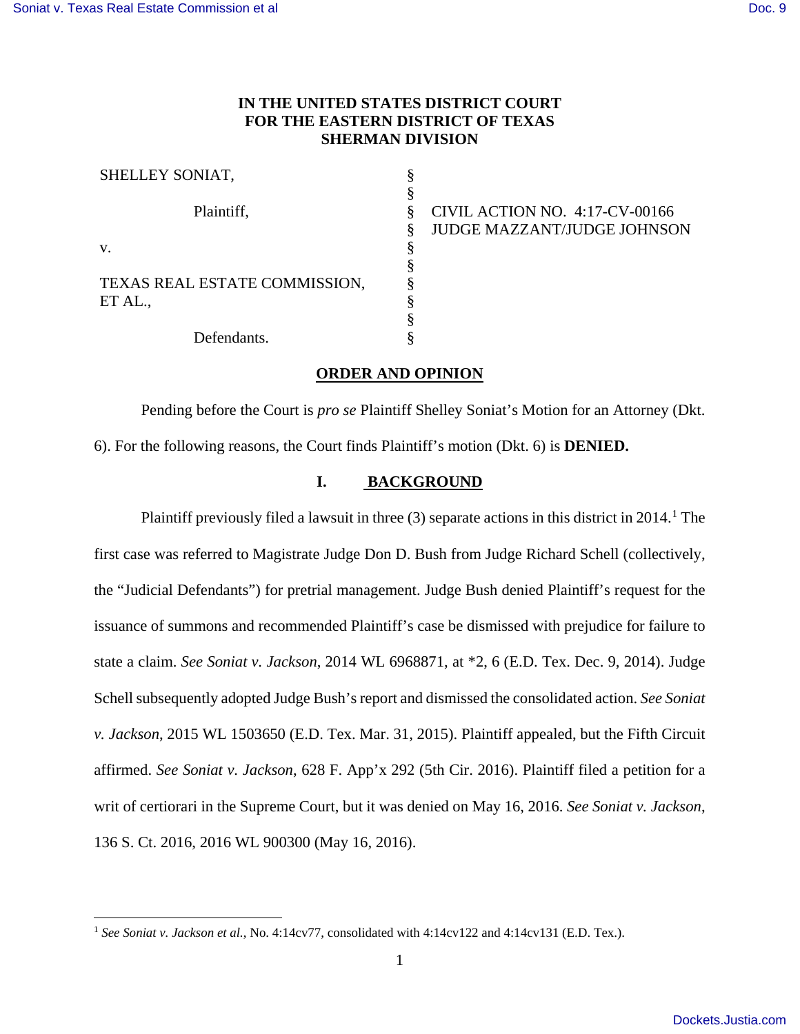$\overline{a}$ 

# **IN THE UNITED STATES DISTRICT COURT FOR THE EASTERN DISTRICT OF TEXAS SHERMAN DIVISION**

| SHELLEY SONIAT,               |  |
|-------------------------------|--|
|                               |  |
| Plaintiff,                    |  |
|                               |  |
| V.                            |  |
|                               |  |
| TEXAS REAL ESTATE COMMISSION, |  |
| ET AL.,                       |  |
|                               |  |
| Defendants.                   |  |

CIVIL ACTION NO. 4:17-CV-00166 JUDGE MAZZANT/JUDGE JOHNSON

## **ORDER AND OPINION**

 Pending before the Court is *pro se* Plaintiff Shelley Soniat's Motion for an Attorney (Dkt. 6). For the following reasons, the Court finds Plaintiff's motion (Dkt. 6) is **DENIED.**

### **I. BACKGROUND**

Plaintiff previously filed a lawsuit in three  $(3)$  separate actions in this district in 20[1](#page-0-0)4.<sup>1</sup> The first case was referred to Magistrate Judge Don D. Bush from Judge Richard Schell (collectively, the "Judicial Defendants") for pretrial management. Judge Bush denied Plaintiff's request for the issuance of summons and recommended Plaintiff's case be dismissed with prejudice for failure to state a claim. *See Soniat v. Jackson*, 2014 WL 6968871, at \*2, 6 (E.D. Tex. Dec. 9, 2014). Judge Schell subsequently adopted Judge Bush's report and dismissed the consolidated action. *See Soniat v. Jackson*, 2015 WL 1503650 (E.D. Tex. Mar. 31, 2015). Plaintiff appealed, but the Fifth Circuit affirmed. *See Soniat v. Jackson*, 628 F. App'x 292 (5th Cir. 2016). Plaintiff filed a petition for a writ of certiorari in the Supreme Court, but it was denied on May 16, 2016. *See Soniat v. Jackson*, 136 S. Ct. 2016, 2016 WL 900300 (May 16, 2016).

<span id="page-0-0"></span><sup>1</sup> *See Soniat v. Jackson et al.*, No. 4:14cv77, consolidated with 4:14cv122 and 4:14cv131 (E.D. Tex.).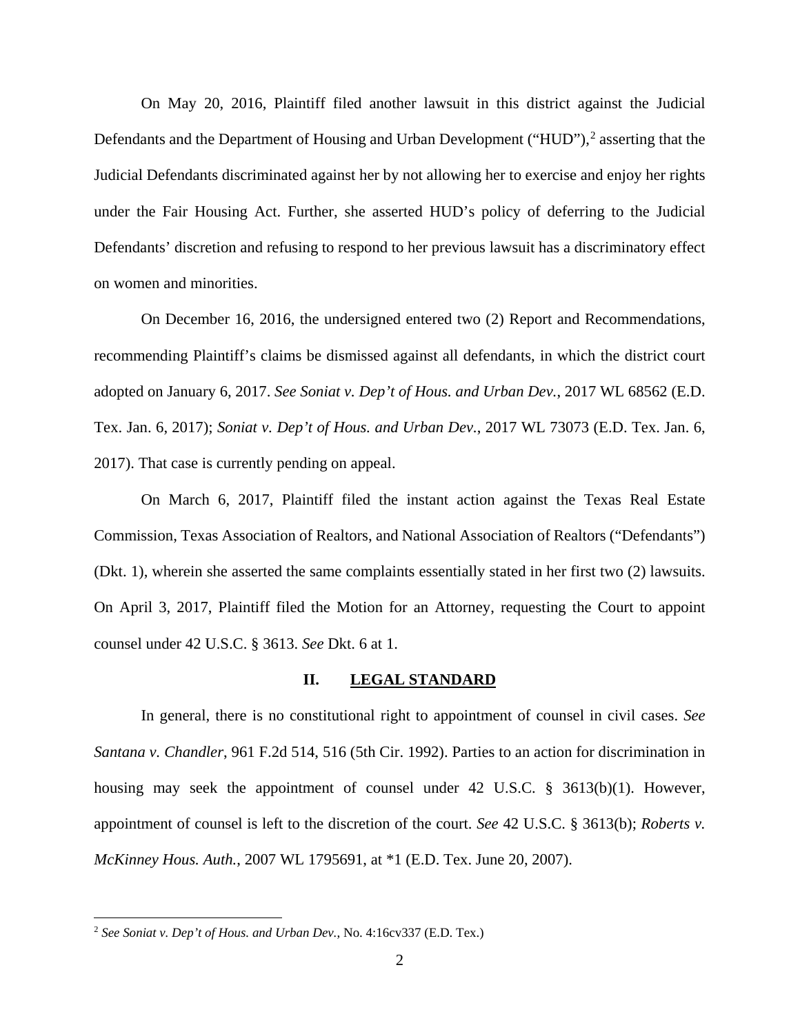On May 20, 2016, Plaintiff filed another lawsuit in this district against the Judicial Defendants and the Department of Housing and Urban Development ("HUD"),<sup>[2](#page-1-0)</sup> asserting that the Judicial Defendants discriminated against her by not allowing her to exercise and enjoy her rights under the Fair Housing Act. Further, she asserted HUD's policy of deferring to the Judicial Defendants' discretion and refusing to respond to her previous lawsuit has a discriminatory effect on women and minorities.

On December 16, 2016, the undersigned entered two (2) Report and Recommendations, recommending Plaintiff's claims be dismissed against all defendants, in which the district court adopted on January 6, 2017. *See Soniat v. Dep't of Hous. and Urban Dev.*, 2017 WL 68562 (E.D. Tex. Jan. 6, 2017); *Soniat v. Dep't of Hous. and Urban Dev.*, 2017 WL 73073 (E.D. Tex. Jan. 6, 2017). That case is currently pending on appeal.

On March 6, 2017, Plaintiff filed the instant action against the Texas Real Estate Commission, Texas Association of Realtors, and National Association of Realtors ("Defendants") (Dkt. 1), wherein she asserted the same complaints essentially stated in her first two (2) lawsuits. On April 3, 2017, Plaintiff filed the Motion for an Attorney, requesting the Court to appoint counsel under 42 U.S.C. § 3613. *See* Dkt. 6 at 1.

### **II. LEGAL STANDARD**

In general, there is no constitutional right to appointment of counsel in civil cases. *See Santana v. Chandler*, 961 F.2d 514, 516 (5th Cir. 1992). Parties to an action for discrimination in housing may seek the appointment of counsel under 42 U.S.C. § 3613(b)(1). However, appointment of counsel is left to the discretion of the court. *See* 42 U.S.C. § 3613(b); *Roberts v. McKinney Hous. Auth.*, 2007 WL 1795691, at \*1 (E.D. Tex. June 20, 2007).

 $\overline{a}$ 

<span id="page-1-0"></span><sup>2</sup> *See Soniat v. Dep't of Hous. and Urban Dev.*, No. 4:16cv337 (E.D. Tex.)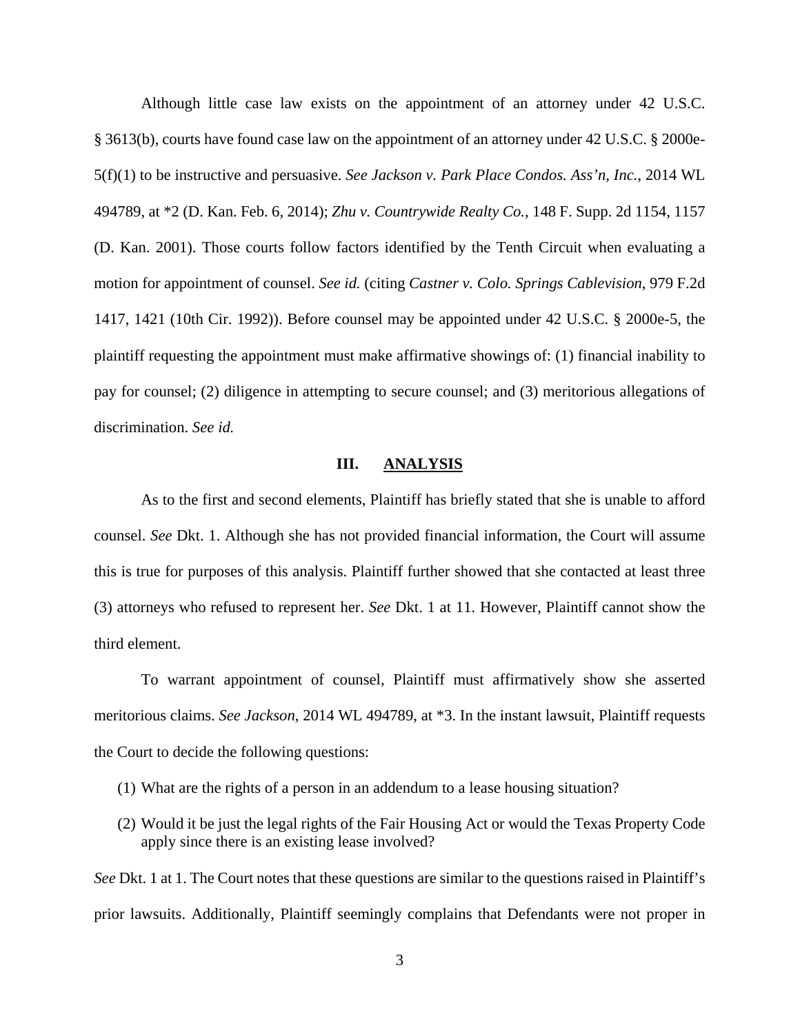Although little case law exists on the appointment of an attorney under 42 U.S.C. § 3613(b), courts have found case law on the appointment of an attorney under 42 U.S.C. § 2000e-5(f)(1) to be instructive and persuasive. *See Jackson v. Park Place Condos. Ass'n, Inc.*, 2014 WL 494789, at \*2 (D. Kan. Feb. 6, 2014); *Zhu v. Countrywide Realty Co.*, 148 F. Supp. 2d 1154, 1157 (D. Kan. 2001). Those courts follow factors identified by the Tenth Circuit when evaluating a motion for appointment of counsel. *See id.* (citing *Castner v. Colo. Springs Cablevision*, 979 F.2d 1417, 1421 (10th Cir. 1992)). Before counsel may be appointed under 42 U.S.C. § 2000e-5, the plaintiff requesting the appointment must make affirmative showings of: (1) financial inability to pay for counsel; (2) diligence in attempting to secure counsel; and (3) meritorious allegations of discrimination. *See id.*

#### **III. ANALYSIS**

As to the first and second elements, Plaintiff has briefly stated that she is unable to afford counsel. *See* Dkt. 1. Although she has not provided financial information, the Court will assume this is true for purposes of this analysis. Plaintiff further showed that she contacted at least three (3) attorneys who refused to represent her. *See* Dkt. 1 at 11. However, Plaintiff cannot show the third element.

To warrant appointment of counsel, Plaintiff must affirmatively show she asserted meritorious claims. *See Jackson*, 2014 WL 494789, at \*3. In the instant lawsuit, Plaintiff requests the Court to decide the following questions:

- (1) What are the rights of a person in an addendum to a lease housing situation?
- (2) Would it be just the legal rights of the Fair Housing Act or would the Texas Property Code apply since there is an existing lease involved?

*See* Dkt. 1 at 1. The Court notes that these questions are similar to the questions raised in Plaintiff's prior lawsuits. Additionally, Plaintiff seemingly complains that Defendants were not proper in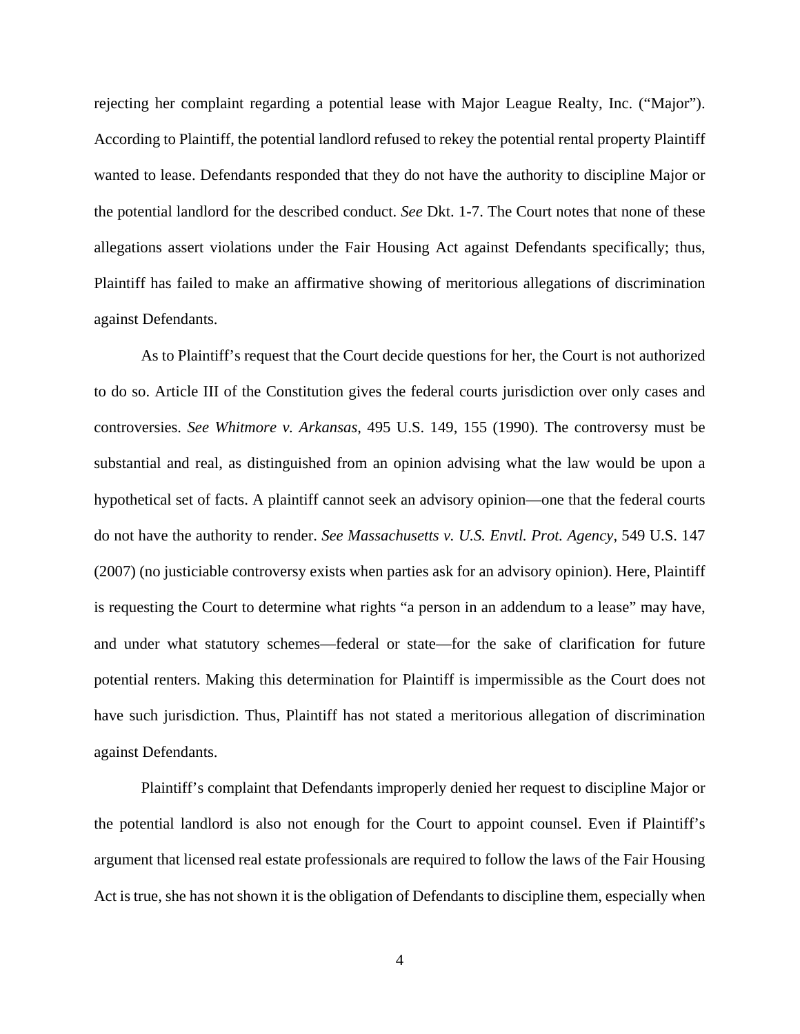rejecting her complaint regarding a potential lease with Major League Realty, Inc. ("Major"). According to Plaintiff, the potential landlord refused to rekey the potential rental property Plaintiff wanted to lease. Defendants responded that they do not have the authority to discipline Major or the potential landlord for the described conduct. *See* Dkt. 1-7. The Court notes that none of these allegations assert violations under the Fair Housing Act against Defendants specifically; thus, Plaintiff has failed to make an affirmative showing of meritorious allegations of discrimination against Defendants.

As to Plaintiff's request that the Court decide questions for her, the Court is not authorized to do so. Article III of the Constitution gives the federal courts jurisdiction over only cases and controversies. *See Whitmore v. Arkansas*, 495 U.S. 149, 155 (1990). The controversy must be substantial and real, as distinguished from an opinion advising what the law would be upon a hypothetical set of facts. A plaintiff cannot seek an advisory opinion—one that the federal courts do not have the authority to render. *See Massachusetts v. U.S. Envtl. Prot. Agency*, 549 U.S. 147 (2007) (no justiciable controversy exists when parties ask for an advisory opinion). Here, Plaintiff is requesting the Court to determine what rights "a person in an addendum to a lease" may have, and under what statutory schemes—federal or state—for the sake of clarification for future potential renters. Making this determination for Plaintiff is impermissible as the Court does not have such jurisdiction. Thus, Plaintiff has not stated a meritorious allegation of discrimination against Defendants.

Plaintiff's complaint that Defendants improperly denied her request to discipline Major or the potential landlord is also not enough for the Court to appoint counsel. Even if Plaintiff's argument that licensed real estate professionals are required to follow the laws of the Fair Housing Act is true, she has not shown it is the obligation of Defendants to discipline them, especially when